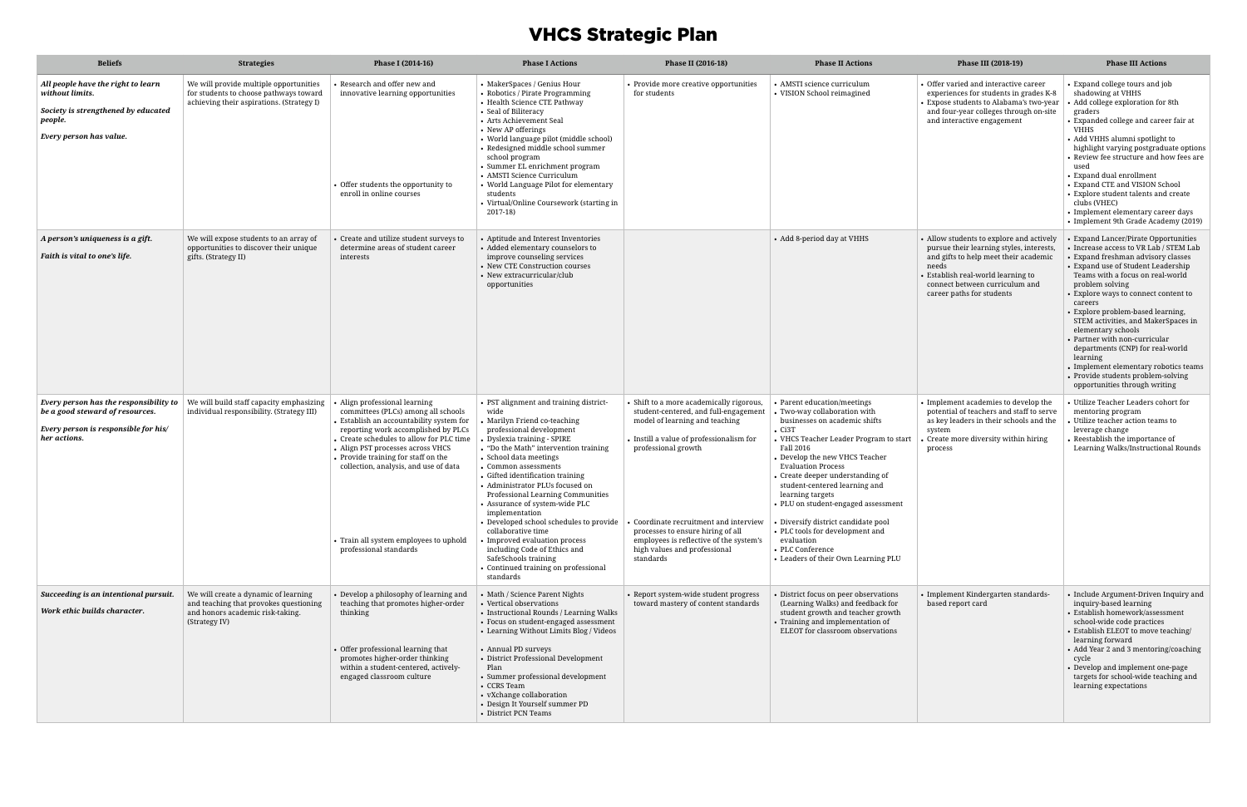# VHCS Strategic Plan

| <b>Beliefs</b>                                                                                                                     | <b>Strategies</b>                                                                                                                   | Phase I (2014-16)                                                                                                                                                                                                                                                                                                                                                                          | <b>Phase I Actions</b>                                                                                                                                                                                                                                                                                                                                                                                                                                                                                                                                                                                      | Phase II (2016-18)                                                                                                                                                                                                                                                                                                                                            | <b>Phase II Actions</b>                                                                                                                                                                                                                                                                                                                                                                                                                                                                                               | Phase III (2018-19)                                                                                                                                                                                                                         | <b>Phase III Actions</b>                                                                                                                                                                                                                                                                                                                                                                                                                                                                                                                                              |
|------------------------------------------------------------------------------------------------------------------------------------|-------------------------------------------------------------------------------------------------------------------------------------|--------------------------------------------------------------------------------------------------------------------------------------------------------------------------------------------------------------------------------------------------------------------------------------------------------------------------------------------------------------------------------------------|-------------------------------------------------------------------------------------------------------------------------------------------------------------------------------------------------------------------------------------------------------------------------------------------------------------------------------------------------------------------------------------------------------------------------------------------------------------------------------------------------------------------------------------------------------------------------------------------------------------|---------------------------------------------------------------------------------------------------------------------------------------------------------------------------------------------------------------------------------------------------------------------------------------------------------------------------------------------------------------|-----------------------------------------------------------------------------------------------------------------------------------------------------------------------------------------------------------------------------------------------------------------------------------------------------------------------------------------------------------------------------------------------------------------------------------------------------------------------------------------------------------------------|---------------------------------------------------------------------------------------------------------------------------------------------------------------------------------------------------------------------------------------------|-----------------------------------------------------------------------------------------------------------------------------------------------------------------------------------------------------------------------------------------------------------------------------------------------------------------------------------------------------------------------------------------------------------------------------------------------------------------------------------------------------------------------------------------------------------------------|
| All people have the right to learn<br>without limits.<br>Society is strengthened by educated<br>people.<br>Every person has value. | We will provide multiple opportunities<br>for students to choose pathways toward<br>achieving their aspirations. (Strategy I)       | Research and offer new and<br>innovative learning opportunities<br>• Offer students the opportunity to<br>enroll in online courses                                                                                                                                                                                                                                                         | • MakerSpaces / Genius Hour<br>• Robotics / Pirate Programming<br>• Health Science CTE Pathway<br>• Seal of Biliteracy<br>• Arts Achievement Seal<br>• New AP offerings<br>• World language pilot (middle school)<br>• Redesigned middle school summer<br>school program<br>• Summer EL enrichment program<br>• AMSTI Science Curriculum<br>• World Language Pilot for elementary<br>students<br>• Virtual/Online Coursework (starting in<br>2017-18)                                                                                                                                                       | • Provide more creative opportunities<br>for students                                                                                                                                                                                                                                                                                                         | • AMSTI science curriculum<br>• VISION School reimagined                                                                                                                                                                                                                                                                                                                                                                                                                                                              | • Offer varied and interactive career<br>experiences for students in grades K-8<br>Expose students to Alabama's two-year<br>and four-year colleges through on-site<br>and interactive engagement                                            | • Expand college tours and job<br>shadowing at VHHS<br>• Add college exploration for 8th<br>graders<br>• Expanded college and career fair at<br><b>VHHS</b><br>• Add VHHS alumni spotlight to<br>highlight varying postgraduate options<br>• Review fee structure and how fees are<br>used<br>• Expand dual enrollment<br>• Expand CTE and VISION School<br>• Explore student talents and create<br>clubs (VHEC)<br>• Implement elementary career days<br>• Implement 9th Grade Academy (2019)                                                                        |
| A person's uniqueness is a gift.<br>Faith is vital to one's life.                                                                  | We will expose students to an array of<br>opportunities to discover their unique<br>gifts. (Strategy II)                            | Create and utilize student surveys to<br>determine areas of student career<br>interests                                                                                                                                                                                                                                                                                                    | • Aptitude and Interest Inventories<br>• Added elementary counselors to<br>improve counseling services<br>• New CTE Construction courses<br>• New extracurricular/club<br>opportunities                                                                                                                                                                                                                                                                                                                                                                                                                     |                                                                                                                                                                                                                                                                                                                                                               | • Add 8-period day at VHHS                                                                                                                                                                                                                                                                                                                                                                                                                                                                                            | • Allow students to explore and actively<br>pursue their learning styles, interests,<br>and gifts to help meet their academic<br>needs<br>• Establish real-world learning to<br>connect between curriculum and<br>career paths for students | Expand Lancer/Pirate Opportunities<br>• Increase access to VR Lab / STEM Lab<br>• Expand freshman advisory classes<br>• Expand use of Student Leadership<br>Teams with a focus on real-world<br>problem solving<br>• Explore ways to connect content to<br>careers<br>• Explore problem-based learning,<br>STEM activities, and MakerSpaces in<br>elementary schools<br>• Partner with non-curricular<br>departments (CNP) for real-world<br>learning<br>• Implement elementary robotics teams<br>• Provide students problem-solving<br>opportunities through writing |
| Every person has the responsibility to<br>be a good steward of resources.<br>Every person is responsible for his/<br>her actions.  | We will build staff capacity emphasizing<br>individual responsibility. (Strategy III)                                               | Align professional learning<br>committees (PLCs) among all schools<br>• Establish an accountability system for<br>reporting work accomplished by PLCs<br>• Create schedules to allow for PLC time<br>• Align PST processes across VHCS<br>• Provide training for staff on the<br>collection, analysis, and use of data<br>• Train all system employees to uphold<br>professional standards | • PST alignment and training district-<br>wide<br>Marilyn Friend co-teaching<br>professional development<br>Dyslexia training - SPIRE<br>• "Do the Math" intervention training<br>• School data meetings<br>• Common assessments<br>• Gifted identification training<br>• Administrator PLUs focused on<br>Professional Learning Communities<br>• Assurance of system-wide PLC<br>implementation<br>• Developed school schedules to provide<br>collaborative time<br>Improved evaluation process<br>including Code of Ethics and<br>SafeSchools training<br>Continued training on professional<br>standards | • Shift to a more academically rigorous,<br>student-centered, and full-engagement<br>model of learning and teaching<br>• Instill a value of professionalism for<br>professional growth<br>• Coordinate recruitment and interview<br>processes to ensure hiring of all<br>employees is reflective of the system's<br>high values and professional<br>standards | • Parent education/meetings<br>• Two-way collaboration with<br>businesses on academic shifts<br>$\cdot$ Ci3T<br>• VHCS Teacher Leader Program to start<br>Fall 2016<br>• Develop the new VHCS Teacher<br><b>Evaluation Process</b><br>• Create deeper understanding of<br>student-centered learning and<br>learning targets<br>• PLU on student-engaged assessment<br>• Diversify district candidate pool<br>• PLC tools for development and<br>evaluation<br>• PLC Conference<br>• Leaders of their Own Learning PLU | • Implement academies to develop the<br>potential of teachers and staff to serve<br>as key leaders in their schools and the<br>system<br>Create more diversity within hiring<br>process                                                     | Utilize Teacher Leaders cohort for<br>mentoring program<br>Utilize teacher action teams to<br>leverage change<br>Reestablish the importance of<br>Learning Walks/Instructional Rounds                                                                                                                                                                                                                                                                                                                                                                                 |
| Succeeding is an intentional pursuit.<br>Work ethic builds character.                                                              | We will create a dynamic of learning<br>and teaching that provokes questioning<br>and honors academic risk-taking.<br>(Strategy IV) | • Develop a philosophy of learning and<br>teaching that promotes higher-order<br>thinking<br>• Offer professional learning that<br>promotes higher-order thinking<br>within a student-centered, actively-<br>engaged classroom culture                                                                                                                                                     | • Math / Science Parent Nights<br>• Vertical observations<br>• Instructional Rounds / Learning Walks<br>• Focus on student-engaged assessment<br>• Learning Without Limits Blog / Videos<br>• Annual PD surveys<br>• District Professional Development<br>Plan<br>• Summer professional development<br>• CCRS Team<br>• vXchange collaboration<br>• Design It Yourself summer PD<br>• District PCN Teams                                                                                                                                                                                                    | • Report system-wide student progress<br>toward mastery of content standards                                                                                                                                                                                                                                                                                  | • District focus on peer observations<br>(Learning Walks) and feedback for<br>student growth and teacher growth<br>• Training and implementation of<br>ELEOT for classroom observations                                                                                                                                                                                                                                                                                                                               | • Implement Kindergarten standards-<br>based report card                                                                                                                                                                                    | • Include Argument-Driven Inquiry and<br>inquiry-based learning<br>• Establish homework/assessment<br>school-wide code practices<br>• Establish ELEOT to move teaching/<br>learning forward<br>• Add Year 2 and 3 mentoring/coaching<br>cycle<br>• Develop and implement one-page<br>targets for school-wide teaching and<br>learning expectations                                                                                                                                                                                                                    |